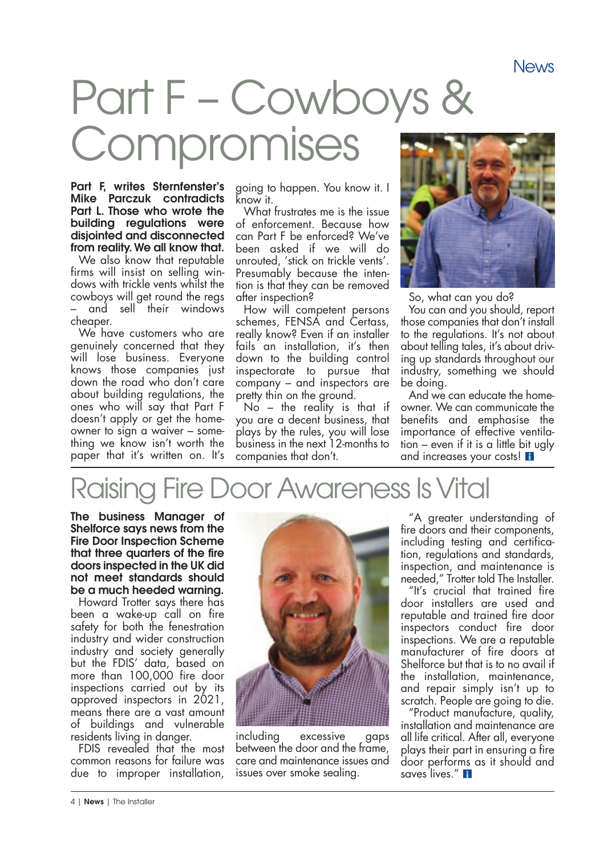# Part F–Cowboys & Compromises

Part F, writes Sternfenster's Mike Parczuk contradicts Part L. Those who wrote the building regulations were disjointed and disconnected from reality. We all know that.

We also know that reputable firms will insist on selling windows with trickle vents whilst the cowboys will get round the regs – and sell their windows cheaper.

We have customers who are genuinely concerned that they will lose business. Everyone knows those companies just down the road who don't care about building regulations, the ones who will say that Part F doesn't apply or get the homeowner to sign a waiver – something we know isn't worth the paper that it's written on. It's

going to happen. You know it. I know it.

What frustrates me is the issue of enforcement. Because how can Part F be enforced? We've been asked if we will do unrouted, 'stick on trickle vents'. Presumably because the intention is that they can be removed after inspection?

How will competent persons schemes, FENSA and Certass, really know? Even if an installer fails an installation, it's then down to the building control inspectorate to pursue that company – and inspectors are pretty thin on the ground.

 $No -$  the reality is that if you are a decent business, that plays by the rules, you will lose business in the next 12-months to companies that don't.



So, what can you do?

You can and you should, report those companies that don't install to the regulations. It's not about about telling tales, it's about driving up standards throughout our industry, something we should be doing.

And we can educate the homeowner. We can communicate the benefits and emphasise the importance of effective ventilation – even if it is a little bit ugly and increases your costs! **<sup>i</sup>**

### Raising Fire Door Awareness IsVital

The business Manager of Shelforce says news from the Fire Door Inspection Scheme that three quarters of the fire doors inspected in the UK did not meet standards should be a much heeded warning.

Howard Trotter says there has been a wake-up call on fire safety for both the fenestration industry and wider construction industry and society generally but the FDIS' data, based on more than 100,000 fire door inspections carried out by its approved inspectors in 2021, means there are a vast amount of buildings and vulnerable residents living in danger.

FDIS revealed that the most common reasons for failure was due to improper installation,



including excessive gaps between the door and the trame, care and maintenance issues and issues over smoke sealing.

"A greater understanding of fire doors and their components, including testing and certification, regulations and standards, inspection, and maintenance is needed," Trotter told The Installer.

"It's crucial that trained fire door installers are used and reputable and trained fire door inspectors conduct fire door inspections. We are a reputable manufacturer of fire doors at Shelforce but that is to no avail if the installation, maintenance, and repair simply isn't up to scratch. People are going to die.

"Product manufacture, quality, installation and maintenance are all life critical. After all, everyone plays their part in ensuring a fire door performs as it should and saves lives." **R**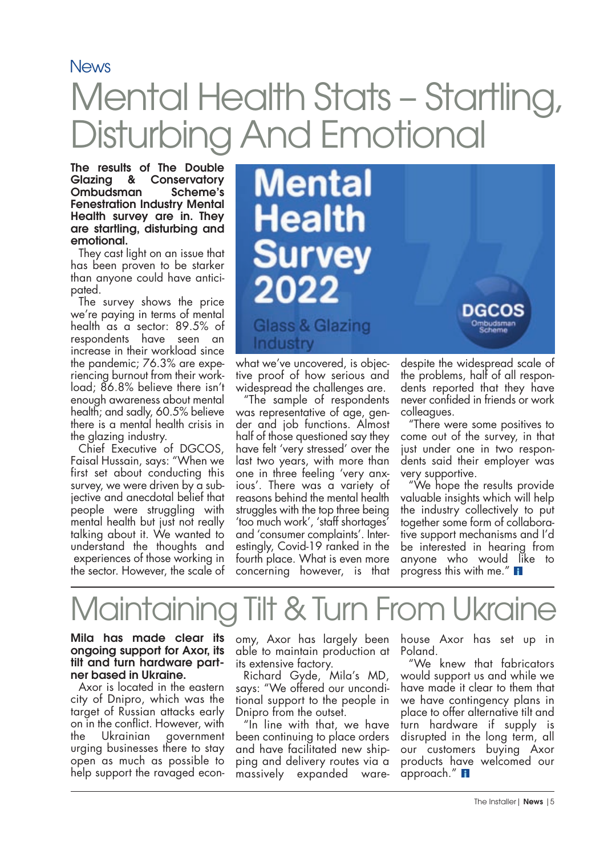### **News** Mental Health Stats - Startling, Disturbing And Emotional

The results of The Double Glazing & Conservatory<br>Ombudsman Scheme's **Ombudsman** Fenestration Industry Mental Health survey are in. They are startling, disturbing and emotional.

They cast light on an issue that has been proven to be starker than anyone could have anticipated.

The survey shows the price we're paying in terms of mental health as a sector: 89.5% of respondents have seen an increase in their workload since the pandemic; 76.3% are experiencing burnout from their workload; 86.8% believe there isn't enough awareness about mental health; and sadly, 60.5% believe there is a mental health crisis in the glazing industry.

Chief Executive of DGCOS, Faisal Hussain, says: "When we first set about conducting this survey, we were driven by a subjective and anecdotal belief that people were struggling with mental health but just not really talking about it. We wanted to understand the thoughts and experiences of those working in the sector. However, the scale of



what we've uncovered, is objective proof of how serious and widespread the challenges are.

"The sample of respondents was representative of age, gender and job functions. Almost half of those questioned say they have felt 'very stressed' over the last two years, with more than one in three feeling 'very anxious'. There was a variety of reasons behind the mental health struggles with the top three being 'too much work', 'staff shortages' and 'consumer complaints'. Interestingly, Covid-19 ranked in the fourth place. What is even more concerning however, is that

despite the widespread scale of the problems, half of all respondents reported that they have never confided in friends or work colleagues.

"There were some positives to come out of the survey, in that just under one in two respondents said their employer was very supportive.

"We hope the results provide valuable insights which will help the industry collectively to put together some form of collaborative support mechanisms and I'd be interested in hearing from anyone who would like to progress this with me." **<sup>i</sup>**

## Maintaining Tilt & Turn From Ukrair

Mila has made clear its ongoing support for Axor, its tilt and turn hardware partner based in Ukraine.

Axor is located in the eastern city of Dnipro, which was the target of Russian attacks early on in the conflict. However, with<br>the Ukrainian government government urging businesses there to stay open as much as possible to help support the ravaged econ-

omy, Axor has largely been able to maintain production at its extensive factory.

Richard Gyde, Mila's MD, says: "We offered our unconditional support to the people in Dnipro from the outset.

"In line with that, we have been continuing to place orders and have facilitated new shipping and delivery routes via a massively expanded warehouse Axor has set up in Poland.

"We knew that fabricators would support us and while we have made it clear to them that we have contingency plans in place to offer alternative tilt and turn hardware if supply is disrupted in the long term, all our customers buying Axor products have welcomed our approach." **<sup>i</sup>**